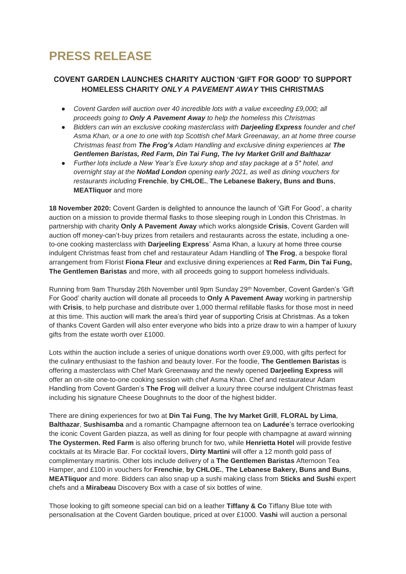# **PRESS RELEASE**

## **COVENT GARDEN LAUNCHES CHARITY AUCTION 'GIFT FOR GOOD' TO SUPPORT HOMELESS CHARITY** *ONLY A PAVEMENT AWAY* **THIS CHRISTMAS**

- *Covent Garden will auction over 40 incredible lots with a value exceeding £9,000; all proceeds going to Only A Pavement Away to help the homeless this Christmas*
- *Bidders can win an exclusive cooking masterclass with Darjeeling Express founder and chef Asma Khan, or a one to one with top Scottish chef Mark Greenaway, an at home three course Christmas feast from The Frog's Adam Handling and exclusive dining experiences at The Gentlemen Baristas, Red Farm, Din Tai Fung, The Ivy Market Grill and Balthazar*
- *Further lots include a New Year's Eve luxury shop and stay package at a 5\* hotel, and overnight stay at the NoMad London opening early 2021, as well as dining vouchers for restaurants including* **Frenchie**, **by CHLOE.**, **The Lebanese Bakery, Buns and Buns**, **MEATliquor** and more

**18 November 2020:** Covent Garden is delighted to announce the launch of 'Gift For Good', a charity auction on a mission to provide thermal flasks to those sleeping rough in London this Christmas. In partnership with charity **Only A Pavement Away** which works alongside **Crisis**, Covent Garden will auction off money-can't-buy prizes from retailers and restaurants across the estate, including a oneto-one cooking masterclass with **Darjeeling Express**' Asma Khan, a luxury at home three course indulgent Christmas feast from chef and restaurateur Adam Handling of **The Frog**, a bespoke floral arrangement from Florist **Fiona Fleur** and exclusive dining experiences at **Red Farm, Din Tai Fung, The Gentlemen Baristas** and more, with all proceeds going to support homeless individuals.

Running from 9am Thursday 26th November until 9pm Sunday 29th November, Covent Garden's 'Gift For Good' charity auction will donate all proceeds to **Only A Pavement Away** working in partnership with **Crisis**, to help purchase and distribute over 1,000 thermal refillable flasks for those most in need at this time. This auction will mark the area's third year of supporting Crisis at Christmas. As a token of thanks Covent Garden will also enter everyone who bids into a prize draw to win a hamper of luxury gifts from the estate worth over £1000.

Lots within the auction include a series of unique donations worth over £9,000, with gifts perfect for the culinary enthusiast to the fashion and beauty lover. For the foodie, **The Gentlemen Baristas** is offering a masterclass with Chef Mark Greenaway and the newly opened **Darjeeling Express** will offer an on-site one-to-one cooking session with chef Asma Khan. Chef and restaurateur Adam Handling from Covent Garden's **The Frog** will deliver a luxury three course indulgent Christmas feast including his signature Cheese Doughnuts to the door of the highest bidder.

There are dining experiences for two at **Din Tai Fung**, **The Ivy Market Grill**, **FLORAL by Lima**, **Balthazar**, **Sushisamba** and a romantic Champagne afternoon tea on **Ladurée**'s terrace overlooking the iconic Covent Garden piazza, as well as dining for four people with champagne at award winning **The Oystermen. Red Farm** is also offering brunch for two, while **Henrietta Hotel** will provide festive cocktails at its Miracle Bar. For cocktail lovers, **Dirty Martini** will offer a 12 month gold pass of complimentary martinis. Other lots include delivery of a **The Gentlemen Baristas** Afternoon Tea Hamper, and £100 in vouchers for **Frenchie**, **by CHLOE.**, **The Lebanese Bakery, Buns and Buns**, **MEATliquor** and more. Bidders can also snap up a sushi making class from **Sticks and Sushi** expert chefs and a **Mirabeau** Discovery Box with a case of six bottles of wine.

Those looking to gift someone special can bid on a leather **Tiffany & Co** Tiffany Blue tote with personalisation at the Covent Garden boutique, priced at over £1000. **Vashi** will auction a personal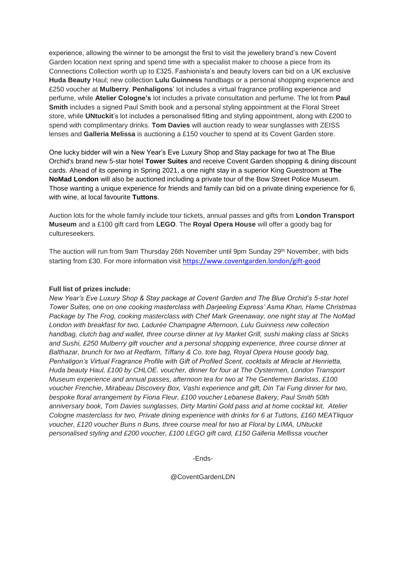experience, allowing the winner to be amongst the first to visit the jewellery brand's new Covent Garden location next spring and spend time with a specialist maker to choose a piece from its Connections Collection worth up to £325. Fashionista's and beauty lovers can bid on a UK exclusive **Huda Beauty** Haul; new collection **Lulu Guinness** handbags or a personal shopping experience and £250 voucher at **Mulberry**. **Penhaligons**' lot includes a virtual fragrance profiling experience and perfume, while **Atelier Cologne's** lot includes a private consultation and perfume. The lot from **Paul Smith** includes a signed Paul Smith book and a personal styling appointment at the Floral Street store, while **UNtuckit**'s lot includes a personalised fitting and styling appointment, along with £200 to spend with complimentary drinks. **Tom Davies** will auction ready to wear sunglasses with ZEISS lenses and **Galleria Melissa** is auctioning a £150 voucher to spend at its Covent Garden store.

One lucky bidder will win a New Year's Eve Luxury Shop and Stay package for two at The Blue Orchid's brand new 5-star hotel **Tower Suites** and receive Covent Garden shopping & dining discount cards. Ahead of its opening in Spring 2021, a one night stay in a superior King Guestroom at **The NoMad London** will also be auctioned including a private tour of the Bow Street Police Museum. Those wanting a unique experience for friends and family can bid on a private dining experience for 6, with wine, at local favourite **Tuttons**.

Auction lots for the whole family include tour tickets, annual passes and gifts from **London Transport Museum** and a £100 gift card from **LEGO**. The **Royal Opera House** will offer a goody bag for cultureseekers.

The auction will run from 9am Thursday 26th November until 9pm Sunday 29th November, with bids starting from £30. For more information visit <https://www.coventgarden.london/gift-good>

#### **Full list of prizes include:**

*New Year's Eve Luxury Shop & Stay package at Covent Garden and The Blue Orchid's 5-star hotel Tower Suites, one on one cooking masterclass with Darjeeling Express' Asma Khan, Hame Christmas Package by The Frog, cooking masterclass with Chef Mark Greenaway, one night stay at The NoMad London with breakfast for two, Ladurée Champagne Afternoon, Lulu Guinness new collection handbag, clutch bag and wallet, three course dinner at Ivy Market Grill, sushi making class at Sticks and Sushi, £250 Mulberry gift voucher and a personal shopping experience, three course dinner at Balthazar, brunch for two at Redfarm, Tiffany & Co. tote bag, Royal Opera House goody bag, Penhaligon's Virtual Fragrance Profile with Gift of Profiled Scent, cocktails at Miracle at Henrietta, Huda beauty Haul, £100 by CHLOE. voucher, dinner for four at The Oystermen, London Transport Museum experience and annual passes, afternoon tea for two at The Gentlemen Baristas, £100 voucher Frenchie, Mirabeau Discovery Box, Vashi experience and gift, Din Tai Fung dinner for two, bespoke floral arrangement by Fiona Fleur, £100 voucher Lebanese Bakery, Paul Smith 50th anniversary book, Tom Davies sunglasses, Dirty Martini Gold pass and at home cocktail kit, Atelier Cologne masterclass for two, Private dining experience with drinks for 6 at Tuttons, £160 MEATliquor voucher, £120 voucher Buns n Buns, three course meal for two at Floral by LIMA, UNtuckit personalised styling and £200 voucher, £100 LEGO gift card, £150 Galleria Mellissa voucher* 

-Ends-

@CoventGardenLDN